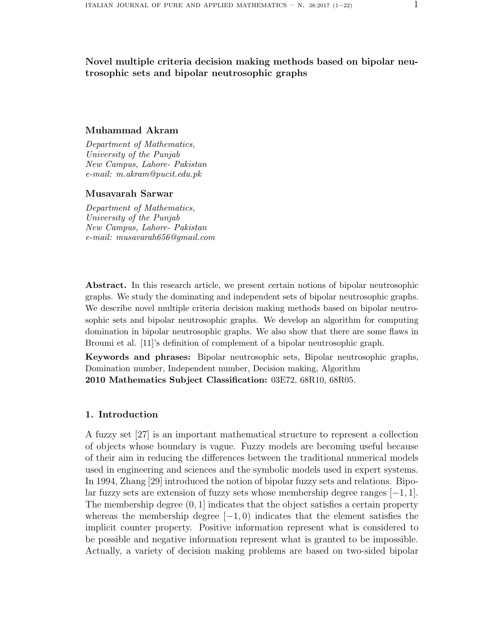## Novel multiple criteria decision making methods based on bipolar neutrosophic sets and bipolar neutrosophic graphs

### Muhammad Akram

*Department of Mathematics, University of the Punjab New Campus, Lahore- Pakistan e-mail: m.akram@pucit.edu.pk*

## Musavarah Sarwar

*Department of Mathematics, University of the Punjab New Campus, Lahore- Pakistan e-mail: musavarah656@gmail.com*

Abstract. In this research article, we present certain notions of bipolar neutrosophic graphs. We study the dominating and independent sets of bipolar neutrosophic graphs. We describe novel multiple criteria decision making methods based on bipolar neutrosophic sets and bipolar neutrosophic graphs. We develop an algorithm for computing domination in bipolar neutrosophic graphs. We also show that there are some flaws in Broumi et al. [11]'s definition of complement of a bipolar neutrosophic graph.

Keywords and phrases: Bipolar neutrosophic sets, Bipolar neutrosophic graphs, Domination number, Independent number, Decision making, Algorithm 2010 Mathematics Subject Classification: 03E72, 68R10, 68R05.

## 1. Introduction

A fuzzy set [27] is an important mathematical structure to represent a collection of objects whose boundary is vague. Fuzzy models are becoming useful because of their aim in reducing the differences between the traditional numerical models used in engineering and sciences and the symbolic models used in expert systems. In 1994, Zhang [29] introduced the notion of bipolar fuzzy sets and relations. Bipolar fuzzy sets are extension of fuzzy sets whose membership degree ranges  $[-1, 1]$ . The membership degree  $(0, 1]$  indicates that the object satisfies a certain property whereas the membership degree  $[-1, 0)$  indicates that the element satisfies the implicit counter property. Positive information represent what is considered to be possible and negative information represent what is granted to be impossible. Actually, a variety of decision making problems are based on two-sided bipolar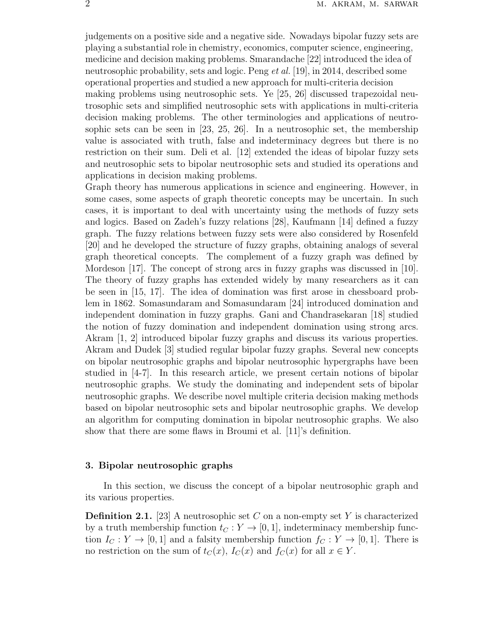judgements on a positive side and a negative side. Nowadays bipolar fuzzy sets are playing a substantial role in chemistry, economics, computer science, engineering, medicine and decision making problems. Smarandache [22] introduced the idea of neutrosophic probability, sets and logic. Peng *et al.* [19], in 2014, described some operational properties and studied a new approach for multi-criteria decision making problems using neutrosophic sets. Ye [25, 26] discussed trapezoidal neutrosophic sets and simplified neutrosophic sets with applications in multi-criteria decision making problems. The other terminologies and applications of neutrosophic sets can be seen in [23, 25, 26]. In a neutrosophic set, the membership value is associated with truth, false and indeterminacy degrees but there is no restriction on their sum. Deli et al. [12] extended the ideas of bipolar fuzzy sets and neutrosophic sets to bipolar neutrosophic sets and studied its operations and applications in decision making problems.

Graph theory has numerous applications in science and engineering. However, in some cases, some aspects of graph theoretic concepts may be uncertain. In such cases, it is important to deal with uncertainty using the methods of fuzzy sets and logics. Based on Zadeh's fuzzy relations [28], Kaufmann [14] defined a fuzzy graph. The fuzzy relations between fuzzy sets were also considered by Rosenfeld [20] and he developed the structure of fuzzy graphs, obtaining analogs of several graph theoretical concepts. The complement of a fuzzy graph was defined by Mordeson [17]. The concept of strong arcs in fuzzy graphs was discussed in [10]. The theory of fuzzy graphs has extended widely by many researchers as it can be seen in [15, 17]. The idea of domination was first arose in chessboard problem in 1862. Somasundaram and Somasundaram [24] introduced domination and independent domination in fuzzy graphs. Gani and Chandrasekaran [18] studied the notion of fuzzy domination and independent domination using strong arcs. Akram [1, 2] introduced bipolar fuzzy graphs and discuss its various properties. Akram and Dudek [3] studied regular bipolar fuzzy graphs. Several new concepts on bipolar neutrosophic graphs and bipolar neutrosophic hypergraphs have been studied in [4-7]. In this research article, we present certain notions of bipolar neutrosophic graphs. We study the dominating and independent sets of bipolar neutrosophic graphs. We describe novel multiple criteria decision making methods based on bipolar neutrosophic sets and bipolar neutrosophic graphs. We develop an algorithm for computing domination in bipolar neutrosophic graphs. We also show that there are some flaws in Broumi et al. [11]'s definition.

#### 3. Bipolar neutrosophic graphs

In this section, we discuss the concept of a bipolar neutrosophic graph and its various properties.

**Definition 2.1.** [23] A neutrosophic set C on a non-empty set Y is characterized by a truth membership function  $t_C : Y \to [0, 1]$ , indeterminacy membership function  $I_C: Y \to [0, 1]$  and a falsity membership function  $f_C: Y \to [0, 1]$ . There is no restriction on the sum of  $t_C(x)$ ,  $I_C(x)$  and  $f_C(x)$  for all  $x \in Y$ .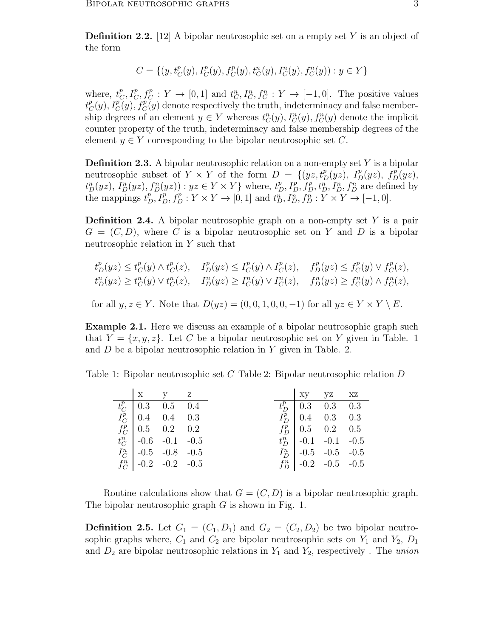**Definition 2.2.** [12] A bipolar neutrosophic set on a empty set Y is an object of the form

$$
C = \{(y, t_C^p(y), I_C^p(y), f_C^p(y), t_C^n(y), I_C^n(y), f_C^n(y)) : y \in Y\}
$$

where,  $t_{\epsilon}^p$  ${}^p_C, I^p_C, f^p_C : Y \to [0,1]$  and  $t^n_C, I^n_C, f^n_C : Y \to [-1,0].$  The positive values  $t_C^p$  $C^p(C(y), I^p_C(y), f^p_C(y))$  denote respectively the truth, indeterminacy and false membership degrees of an element  $y \in Y$  whereas  $t_C^n(y)$ ,  $I_C^n(y)$ ,  $f_C^n(y)$  denote the implicit counter property of the truth, indeterminacy and false membership degrees of the element  $y \in Y$  corresponding to the bipolar neutrosophic set C.

**Definition 2.3.** A bipolar neutrosophic relation on a non-empty set  $Y$  is a bipolar neutrosophic subset of  $Y \times Y$  of the form  $D = \{(yz, t_D^p(yz), I_D^p(yz), f_D^p(yz),$  $t_D^n(yz)$ ,  $I_D^n(yz)$ ,  $f_D^n(yz)$ ) :  $yz \in Y \times Y$  where,  $t_D^p$ ,  $I_D^p$ ,  $f_D^p$ ,  $t_D^n$ ,  $I_D^n$ ,  $f_D^n$  are defined by the mappings  $t_D^p$ ,  $I_D^p$ ,  $f_D^p$  :  $Y \times Y \to [0, 1]$  and  $t_D^n$ ,  $I_D^n$ ,  $f_D^n$  :  $\overline{Y} \times \overline{Y} \to [-1, 0]$ .

**Definition 2.4.** A bipolar neutrosophic graph on a non-empty set  $Y$  is a pair  $G = (C, D)$ , where C is a bipolar neutrosophic set on Y and D is a bipolar neutrosophic relation in Y such that

$$
t^p_D(yz) \le t^p_C(y) \wedge t^p_C(z), \quad I^p_D(yz) \le I^p_C(y) \wedge I^p_C(z), \quad f^p_D(yz) \le f^p_C(y) \vee f^p_C(z),
$$
  

$$
t^n_D(yz) \ge t^n_C(y) \vee t^n_C(z), \quad I^n_D(yz) \ge I^n_C(y) \vee I^n_C(z), \quad f^n_D(yz) \ge f^n_C(y) \wedge f^n_C(z),
$$

for all  $y, z \in Y$ . Note that  $D(yz) = (0, 0, 1, 0, 0, -1)$  for all  $yz \in Y \times Y \setminus E$ .

Example 2.1. Here we discuss an example of a bipolar neutrosophic graph such that  $Y = \{x, y, z\}$ . Let C be a bipolar neutrosophic set on Y given in Table. 1 and D be a bipolar neutrosophic relation in Y given in Table. 2.

Table 1: Bipolar neutrosophic set C Table 2: Bipolar neutrosophic relation D

| $X$ $Y$ $Z$                                   |  |  | xy yz xz               |  |
|-----------------------------------------------|--|--|------------------------|--|
| $t_C^p$ 0.3 0.5 0.4                           |  |  | $t_D^p$   0.3 0.3 0.3  |  |
| $I_C^p$ 0.4 0.4 0.3                           |  |  | $I_D^p$   0.4 0.3 0.3  |  |
| $f_C^p$ 0.5 0.2 0.2<br>$t_C^n$ -0.6 -0.1 -0.5 |  |  | $f_D^p$   0.5 0.2 0.5  |  |
|                                               |  |  | $t_D^n$ -0.1 -0.1 -0.5 |  |
| $I_C^n$ -0.5 -0.8 -0.5                        |  |  | $I_D^n$ -0.5 -0.5 -0.5 |  |
| $f_C^n$ -0.2 -0.2 -0.5                        |  |  | $f_D^n$ -0.2 -0.5 -0.5 |  |

Routine calculations show that  $G = (C, D)$  is a bipolar neutrosophic graph. The bipolar neutrosophic graph  $G$  is shown in Fig. 1.

**Definition 2.5.** Let  $G_1 = (C_1, D_1)$  and  $G_2 = (C_2, D_2)$  be two bipolar neutrosophic graphs where,  $C_1$  and  $C_2$  are bipolar neutrosophic sets on  $Y_1$  and  $Y_2$ ,  $D_1$ and  $D_2$  are bipolar neutrosophic relations in  $Y_1$  and  $Y_2$ , respectively. The *union*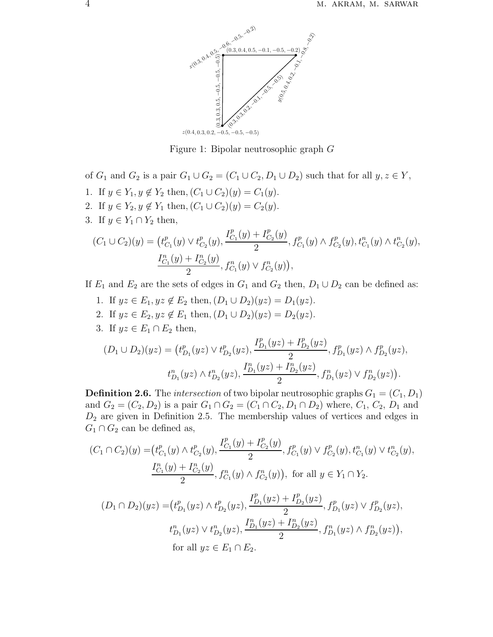

Figure 1: Bipolar neutrosophic graph G

of  $G_1$  and  $G_2$  is a pair  $G_1 \cup G_2 = (C_1 \cup C_2, D_1 \cup D_2)$  such that for all  $y, z \in Y$ , 1. If  $y \in Y_1, y \notin Y_2$  then,  $(C_1 \cup C_2)(y) = C_1(y)$ . 2. If  $y \in Y_2, y \notin Y_1$  then,  $(C_1 \cup C_2)(y) = C_2(y)$ . 3. If  $y \in Y_1 \cap Y_2$  then, p p  $I_{C_1}^p(y) + I_{C_2}^p(y)$  $C_1$  $\scriptstyle C_2$ p n

$$
(C_1 \cup C_2)(y) = (t_{C_1}^p(y) \vee t_{C_2}^p(y), \frac{t_{C_1}(y) + t_{C_2}(y)}{2}, f_{C_1}^p(y) \wedge f_{C_2}^p(y), t_{C_1}^n(y) \wedge t_{C_2}^n(y),
$$
  

$$
\frac{I_{C_1}^n(y) + I_{C_2}^n(y)}{2}, f_{C_1}^n(y) \vee f_{C_2}^n(y)),
$$

If  $E_1$  and  $E_2$  are the sets of edges in  $G_1$  and  $G_2$  then,  $D_1 \cup D_2$  can be defined as:

- 1. If  $yz \in E_1, yz \notin E_2$  then,  $(D_1 \cup D_2)(yz) = D_1(yz)$ .
- 2. If  $yz \in E_2, yz \notin E_1$  then,  $(D_1 \cup D_2)(yz) = D_2(yz)$ .
- 3. If  $yz \in E_1 \cap E_2$  then,

$$
(D_1 \cup D_2)(yz) = (t_{D_1}^p(yz) \vee t_{D_2}^p(yz), \frac{I_{D_1}^p(yz) + I_{D_2}^p(yz)}{2}, f_{D_1}^p(yz) \wedge f_{D_2}^p(yz),
$$
  

$$
t_{D_1}^n(yz) \wedge t_{D_2}^n(yz), \frac{I_{D_1}^n(yz) + I_{D_2}^n(yz)}{2}, f_{D_1}^n(yz) \vee f_{D_2}^n(yz)).
$$

**Definition 2.6.** The *intersection* of two bipolar neutrosophic graphs  $G_1 = (C_1, D_1)$ and  $G_2 = (C_2, D_2)$  is a pair  $G_1 \cap G_2 = (C_1 \cap C_2, D_1 \cap D_2)$  where,  $C_1, C_2, D_1$  and  $D_2$  are given in Definition 2.5. The membership values of vertices and edges in  $G_1 \cap G_2$  can be defined as,

$$
(C_1 \cap C_2)(y) = (t_{C_1}^p(y) \land t_{C_2}^p(y), \frac{I_{C_1}^p(y) + I_{C_2}^p(y)}{2}, f_{C_1}^p(y) \lor f_{C_2}^p(y), t_{C_1}^n(y) \lor t_{C_2}^n(y),
$$
  

$$
\frac{I_{C_1}^n(y) + I_{C_2}^n(y)}{2}, f_{C_1}^n(y) \land f_{C_2}^n(y)), \text{ for all } y \in Y_1 \cap Y_2.
$$
  

$$
(D_1 \cap D_2)(yz) = (t_{D_1}^p(yz) \land t_{D_2}^p(yz), \frac{I_{D_1}^p(yz) + I_{D_2}^p(yz)}{2}, f_{D_1}^p(yz) \lor f_{D_2}^p(yz),
$$
  

$$
t_{D_1}^n(yz) \lor t_{D_2}^n(yz), \frac{I_{D_1}^n(yz) + I_{D_2}^n(yz)}{2}, f_{D_1}^n(yz) \land f_{D_2}^n(yz)),
$$
  
for all  $yz \in E_1 \cap E_2$ .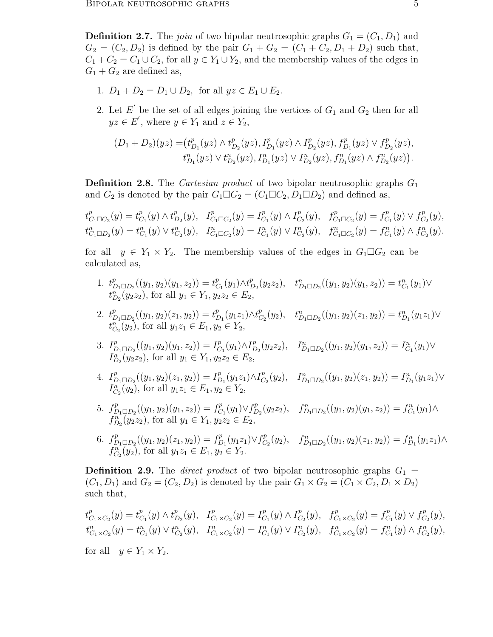**Definition 2.7.** The *join* of two bipolar neutrosophic graphs  $G_1 = (C_1, D_1)$  and  $G_2 = (C_2, D_2)$  is defined by the pair  $G_1 + G_2 = (C_1 + C_2, D_1 + D_2)$  such that,  $C_1 + C_2 = C_1 \cup C_2$ , for all  $y \in Y_1 \cup Y_2$ , and the membership values of the edges in  $G_1 + G_2$  are defined as,

- 1.  $D_1 + D_2 = D_1 \cup D_2$ , for all  $yz \in E_1 \cup E_2$ .
- 2. Let  $E'$  be the set of all edges joining the vertices of  $G_1$  and  $G_2$  then for all  $yz \in E'$ , where  $y \in Y_1$  and  $z \in Y_2$ ,

$$
(D_1 + D_2)(yz) = (t_{D_1}^p(yz) \wedge t_{D_2}^p(yz), I_{D_1}^p(yz) \wedge I_{D_2}^p(yz), f_{D_1}^p(yz) \vee f_{D_2}^p(yz),
$$
  

$$
t_{D_1}^n(yz) \vee t_{D_2}^n(yz), I_{D_1}^n(yz) \vee I_{D_2}^n(yz), f_{D_1}^n(yz) \wedge f_{D_2}^n(yz)).
$$

**Definition 2.8.** The *Cartesian product* of two bipolar neutrosophic graphs  $G_1$ and  $G_2$  is denoted by the pair  $G_1 \Box G_2 = (C_1 \Box C_2, D_1 \Box D_2)$  and defined as,

 $t_{C_1 \Box C_2}^p(y) = t_C^p$  $_{C_1}^p(y) \wedge t^p_L$  $L_{D_2}^p(y), \quad I_{C_1 \square C_2}^p(y) = I_C^p$  $_{C_1}^p(y) \wedge I_C^p$  $E_{C_2}^p(y)$ ,  $f_{C_1 \square C_2}^p(y) = f_C^p$  $C_1^p(y) \vee f_C^p$  $C_2^p(y),$  $t_{C_1\Box D_2}^n(y) = t_{C_1}^n(y) \vee t_{C_2}^n(y), \quad I_{C_1\Box C_2}^n(y) = I_{C_1}^n(y) \vee I_{C_2}^n(y), \quad f_{C_1\Box C_2}^n(y) = f_{C_1}^n(y) \wedge f_{C_2}^n(y).$ 

for all  $y \in Y_1 \times Y_2$ . The membership values of the edges in  $G_1 \square G_2$  can be calculated as,

- 1.  $t_{D_1\Box D_2}^p((y_1, y_2)(y_1, z_2)) = t_C^p$  $_{C_1}^{p}(y_1) \wedge t_I^p$  $\bigcup_{D_2}^p (y_2 z_2), \quad t_{D_1 \square D_2}^n ((y_1, y_2)(y_1, z_2)) = t_{C_1}^n(y_1) \vee$  $t_{D_2}^n(y_2z_2)$ , for all  $y_1 \in Y_1, y_2z_2 \in E_2$ ,
- 2.  $t_{D_1 \square D_2}^p((y_1, y_2)(z_1, y_2)) = t_I^p$  $_{D_1}^{p}(y_1z_1)\wedge t_{C}^{p}$  $C_2(y_2), \quad t_{D_1 \square D_2}^n((y_1, y_2)(z_1, y_2)) = t_{D_1}^n(y_1 z_1) \vee$  $t_{C_2}^n(y_2)$ , for all  $y_1z_1 \in E_1, y_2 \in Y_2$ ,
- 3.  $I_{D_1 \square D_2}^p((y_1, y_2)(y_1, z_2)) = I_C^p$  $_{C_1}^p(y_1) \wedge I_L^p$  $D_2(y_2z_2), \quad I_{D_1\Box D_2}^n((y_1, y_2)(y_1, z_2)) = I_{C_1}^n(y_1) \vee$  $I_{D_2}^n(y_2z_2)$ , for all  $y_1 \in Y_1, y_2z_2 \in E_2$ ,
- 4.  $I_{D_1 \square D_2}^p((y_1, y_2)(z_1, y_2)) = I_L^p$  $_{D_1}^p(y_1z_1)\wedge I_C^p$  $C_2^p(y_2), \quad I_{D_1 \square D_2}^n((y_1, y_2)(z_1, y_2)) = I_{D_1}^n(y_1 z_1) \vee$  $I_{C_2}^{n}(y_2)$ , for all  $y_1z_1 \in E_1, y_2 \in Y_2$ ,
- 5.  $f_{D_1 \square D_2}^p((y_1, y_2)(y_1, z_2)) = f_C^p$  $C_1^p(y_1) \vee f_L^p$  $\int_{D_2}^{p} (y_2 z_2), \quad f_{D_1 \square D_2}^{n}((y_1, y_2)(y_1, z_2)) = f_{C_1}^{n}(y_1) \wedge$  $f_{D_2}^{n}(y_2z_2)$ , for all  $y_1 \in Y_1, y_2z_2 \in E_2$ ,
- 6.  $f_{D_1\Box D_2}^p((y_1, y_2)(z_1, y_2)) = f_L^p$  $E_{D_1}^p(y_1z_1)\vee f_C^p$  $C_2(y_2), \quad f_{D_1 \square D_2}^n((y_1, y_2)(z_1, y_2)) = f_{D_1}^n(y_1z_1) \wedge$  $f_{C_2}^n(y_2)$ , for all  $y_1z_1 \in E_1, y_2 \in Y_2$ .

**Definition 2.9.** The *direct product* of two bipolar neutrosophic graphs  $G_1$  =  $(C_1, D_1)$  and  $G_2 = (C_2, D_2)$  is denoted by the pair  $G_1 \times G_2 = (C_1 \times C_2, D_1 \times D_2)$ such that,

 $t_C^p$  $_{C_1\times C_2}^p(y)=t_C^p$  $_{C_1}^p(y) \wedge t^p_L$  $D_2(y)$ ,  $I_{C_1 \times C_2}^p(y) = I_C^p$  $_{C_1}^p(y) \wedge I_C^p$  $\int_{C_2}^{p}(y)$ ,  $f_{C_1 \times C_2}^{p}(y) = f_C^{p}$  $C_1^p(y) \vee f_C^p$  $C_2^p(y),$  $t_{C_1 \times C_2}^n(y) = t_{C_1}^n(y) \vee t_{C_2}^n(y), \quad I_{C_1 \times C_2}^n(y) = I_{C_1}^n(y) \vee I_{C_2}^n(y), \quad f_{C_1 \times C_2}^n(y) = f_{C_1}^n(y) \wedge f_{C_2}^n(y),$ for all  $y \in Y_1 \times Y_2$ .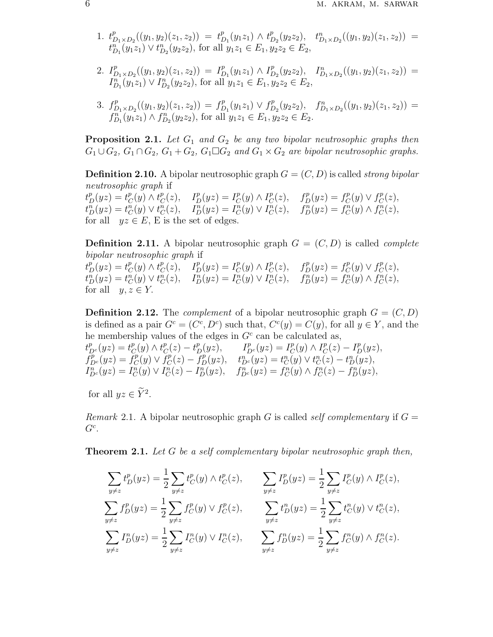- 1.  $t_I^p$  $D_{1}D_{2}((y_{1},y_{2})(z_{1},z_{2})) = t_{L}^{p}$  $_{D_1}^{p}(y_1z_1)\wedge t_{I}^{p}$  $b_{D_2}^p(y_2z_2), \quad t_{D_1\times D_2}^n((y_1, y_2)(z_1, z_2)) =$  $t_{D_1}^n(y_1z_1) \vee t_{D_2}^n(y_2z_2)$ , for all  $y_1z_1 \in E_1, y_2z_2 \in E_2$ ,
- 2.  $I_L^p$  $D_{1}D_{2}((y_{1},y_{2})(z_{1},z_{2})) = I_{L}^{p}$  $_{D_1}^p(y_1z_1)\wedge I_L^p$  $D_2^{p}(y_2z_2), \quad D_{1\times D_2}^{n}((y_1, y_2)(z_1, z_2)) =$  $I_{D_1}^n(y_1z_1) \vee I_{D_2}^n(y_2z_2)$ , for all  $y_1z_1 \in E_1, y_2z_2 \in E_2$ ,
- 3.  $f^p_L$  $D_{1}D_{2}((y_{1},y_{2})(z_{1},z_{2})) = f_{D}^{p}$  $f_{D_1}^p(y_1z_1) \vee f_L^p$  $\int_{D_2}^{p}(y_2z_2), \quad f_{D_1\times D_2}^{n}((y_1, y_2)(z_1, z_2)) =$  $f_{D_1}^n(y_1z_1) \wedge f_{D_2}^n(y_2z_2)$ , for all  $y_1z_1 \in E_1, y_2z_2 \in E_2$ .

**Proposition 2.1.** Let  $G_1$  and  $G_2$  be any two bipolar neutrosophic graphs then  $G_1 \cup G_2$ ,  $G_1 \cap G_2$ ,  $G_1 + G_2$ ,  $G_1 \square G_2$  *and*  $G_1 \times G_2$  *are bipolar neutrosophic graphs.* 

**Definition 2.10.** A bipolar neutrosophic graph  $G = (C, D)$  is called *strong bipolar neutrosophic graph* if  $t_D^p(yz) = t_C^p$  $_{C}^{p}(y)\wedge t_{C}^{p}$  $L_C^p(z)$ ,  $I_D^p(yz) = I_C^p$  $_{C}^{p}(y) \wedge I_{C}^{p}$  $L_C^p(z)$ ,  $f_D^p(yz) = f_C^p$  $C^p(C) \vee f_C^p$  $C^p(C),$ 

 $t_D^n(yz) = t_C^n(y) \vee t_C^n(z), \quad I_D^n(yz) = I_C^n(y) \vee I_C^n(z), \quad f_D^n(yz) = f_C^n(y) \wedge f_C^n(z),$ for all  $yz \in E$ , E is the set of edges.

**Definition 2.11.** A bipolar neutrosophic graph  $G = (C, D)$  is called *complete bipolar neutrosophic graph* if  $t_D^p(yz) = t_C^p$  $_{C}^{p}(y) \wedge t_{C}^{p}$  $L_C^p(z)$ ,  $I_D^p(yz) = I_C^p$  $_{C}^{p}(y) \wedge I_{C}^{p}$  $L_C^p(z)$ ,  $f_D^p(yz) = f_C^p$  $C^p(C) \vee f_C^p$  $C^p(z),$  $t_D^n(yz) = t_C^n(y) \vee t_C^n(z), \quad I_D^n(yz) = I_C^n(y) \vee I_C^n(z), \quad f_D^n(yz) = f_C^n(y) \wedge f_C^n(z),$ for all  $y, z \in Y$ .

**Definition 2.12.** The *complement* of a bipolar neutrosophic graph  $G = (C, D)$ is defined as a pair  $G^c = (C^c, D^c)$  such that,  $C^c(y) = C(y)$ , for all  $y \in Y$ , and the he membership values of the edges in  $G<sup>c</sup>$  can be calculated as,  $t_{D^c}^p(yz) = t_C^p$  $_{C}^{p}(y) \wedge t_{C}^{p}$  $C_C^p(z) - t_D^p(yz), \qquad I_{D^c}^p(yz) = I_C^p$  $_{C}^{p}(y) \wedge I_{C}^{p}$  $_{C}^{p}(z) - I_{D}^{p}(yz),$  $f_{D^c}^p(yz) = \check{f}_C^p$  $\check{f}_C^p(y) \vee \check{f}_C^p$  $t_{C}^{p}(z) - f_{D}^{p}(yz), \quad t_{D^{c}}^{n}(yz) = t_{C}^{n}(y) \vee t_{C}^{n}(z) - t_{D}^{n}(yz),$  $I_{D^c}^n(yz) = I_C^n(y) \vee I_C^n(z) - I_D^n(yz), \quad f_{D^c}^n(yz) = f_C^n(y) \wedge f_C^n(z) - f_D^n(yz),$ 

for all  $yz \in Y^2$ .

*Remark* 2.1. A bipolar neutrosophic graph G is called *self complementary* if  $G =$  $G^c$ .

Theorem 2.1. *Let* G *be a self complementary bipolar neutrosophic graph then,*

$$
\sum_{y \neq z} t_D^p(yz) = \frac{1}{2} \sum_{y \neq z} t_C^p(y) \wedge t_C^p(z), \qquad \sum_{y \neq z} I_D^p(yz) = \frac{1}{2} \sum_{y \neq z} I_C^p(y) \wedge I_C^p(z),
$$
\n
$$
\sum_{y \neq z} f_D^p(yz) = \frac{1}{2} \sum_{y \neq z} f_C^p(y) \vee f_C^p(z), \qquad \sum_{y \neq z} t_D^n(yz) = \frac{1}{2} \sum_{y \neq z} t_C^n(y) \vee t_C^n(z),
$$
\n
$$
\sum_{y \neq z} I_D^n(yz) = \frac{1}{2} \sum_{y \neq z} I_C^n(y) \vee I_C^n(z), \qquad \sum_{y \neq z} f_D^n(yz) = \frac{1}{2} \sum_{y \neq z} f_C^n(y) \wedge f_C^n(z).
$$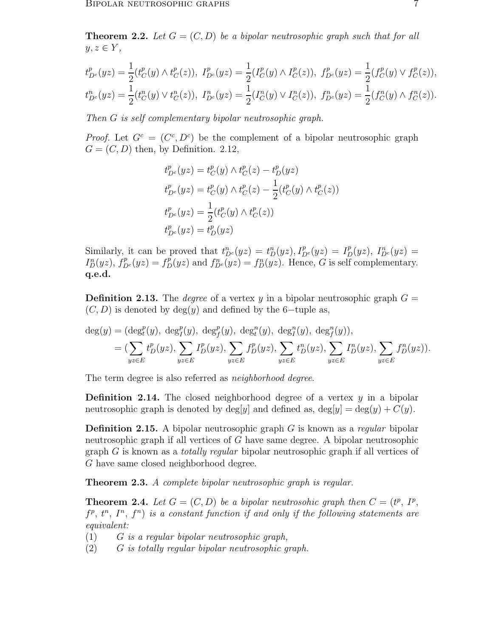**Theorem 2.2.** Let  $G = (C, D)$  be a bipolar neutrosophic graph such that for all  $y, z \in Y,$ 

$$
t_{D^c}^p(yz) = \frac{1}{2}(t_C^p(y) \wedge t_C^p(z)), \ I_{D^c}^p(yz) = \frac{1}{2}(I_C^p(y) \wedge I_C^p(z)), \ f_{D^c}^p(yz) = \frac{1}{2}(f_C^p(y) \vee f_C^p(z)),
$$
  

$$
t_{D^c}^n(yz) = \frac{1}{2}(t_C^n(y) \vee t_C^n(z)), \ I_{D^c}^n(yz) = \frac{1}{2}(I_C^n(y) \vee I_C^n(z)), \ f_{D^c}^n(yz) = \frac{1}{2}(f_C^n(y) \wedge f_C^n(z)).
$$

*Then* G *is self complementary bipolar neutrosophic graph.*

*Proof.* Let  $G^c = (C^c, D^c)$  be the complement of a bipolar neutrosophic graph  $G = (C, D)$  then, by Definition. 2.12,

$$
t_{D^c}^p(yz) = t_C^p(y) \wedge t_C^p(z) - t_D^p(yz)
$$
  
\n
$$
t_{D^c}^p(yz) = t_C^p(y) \wedge t_C^p(z) - \frac{1}{2} (t_C^p(y) \wedge t_C^p(z))
$$
  
\n
$$
t_{D^c}^p(yz) = \frac{1}{2} (t_C^p(y) \wedge t_C^p(z))
$$
  
\n
$$
t_{D^c}^p(yz) = t_D^p(yz)
$$

Similarly, it can be proved that  $t_{D^c}^n(yz) = t_D^n(yz)$ ,  $I_{D^c}^p(yz) = I_D^p(yz)$ ,  $I_{D^c}^n(yz) =$  $I_D^n(yz)$ ,  $f_{D^c}^p(yz) = f_D^p(yz)$  and  $f_{D^c}^n(yz) = f_D^n(yz)$ . Hence, G is self complementary. q.e.d.

**Definition 2.13.** The *degree* of a vertex y in a bipolar neutrosophic graph  $G =$  $(C, D)$  is denoted by deg $(y)$  and defined by the 6-tuple as,

$$
\deg(y) = (\deg_t^p(y), \; \deg_f^p(y), \; \deg_f^p(y), \; \deg_t^n(y), \; \deg_f^n(y), \; \deg_f^n(y)), \n= (\sum_{yz \in E} t_D^p(yz), \sum_{yz \in E} I_D^p(yz), \sum_{yz \in E} t_D^n(yz), \sum_{yz \in E} I_D^n(yz), \sum_{yz \in E} f_D^n(yz)).
$$

The term degree is also referred as *neighborhood degree*.

**Definition 2.14.** The closed neighborhood degree of a vertex  $y$  in a bipolar neutrosophic graph is denoted by deg[y] and defined as,  $\deg[y] = \deg(y) + C(y)$ .

Definition 2.15. A bipolar neutrosophic graph G is known as a *regular* bipolar neutrosophic graph if all vertices of G have same degree. A bipolar neutrosophic graph G is known as a *totally regular* bipolar neutrosophic graph if all vertices of G have same closed neighborhood degree.

Theorem 2.3. *A complete bipolar neutrosophic graph is regular.*

Theorem 2.4. *Let* G = (C, D) *be a bipolar neutrosohic graph then* C = (t p , I<sup>p</sup> ,  $f^p, t^n, I^n, f^n$ ) is a constant function if and only if the following statements are *equivalent:*

- (1) G *is a regular bipolar neutrosophic graph,*
- (2) G *is totally regular bipolar neutrosophic graph.*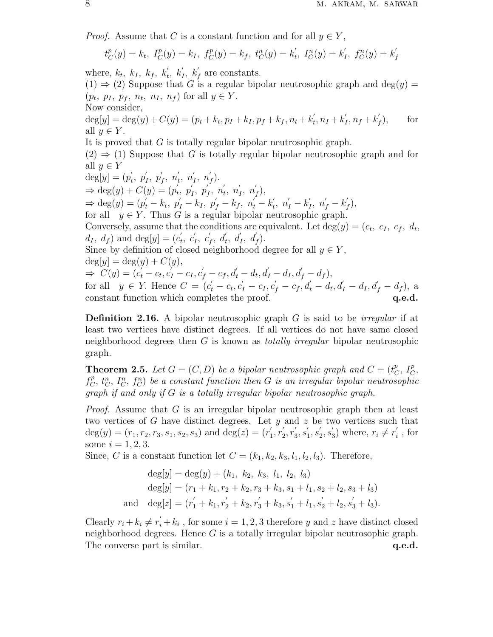*Proof.* Assume that C is a constant function and for all  $y \in Y$ ,

$$
t_C^p(y) = k_t, \ I_C^p(y) = k_I, \ f_C^p(y) = k_f, \ t_C^n(y) = k'_t, \ I_C^n(y) = k'_I, \ f_C^n(y) = k'_f
$$

where,  $k_t$ ,  $k_I$ ,  $k_f$ ,  $k'_t$ ,  $k'_I$ ,  $k'_f$  are constants.

 $(1) \Rightarrow (2)$  Suppose that G is a regular bipolar neutrosophic graph and deg $(y)$  =  $(p_t, p_I, p_f, n_t, n_I, n_f)$  for all  $y \in Y$ .

Now consider,

 $deg[y] = deg(y) + C(y) = (p_t + k_t, p_I + k_I, p_f + k_f, n_t + k_t$  $t'_{t}, n_{I} + k'_{I}$  $I_{I}^{'}, n_{f} + k_{J}^{'}$ f for all  $y \in Y$ .

It is proved that G is totally regular bipolar neutrosophic graph.

 $(2) \Rightarrow (1)$  Suppose that G is totally regular bipolar neutrosophic graph and for all  $y \in Y$ ′ ′

$$
deg[y] = (p'_t, p'_1, p'_f, n'_t, n'_t, n'_f, n'_f).
$$
  
\n
$$
\Rightarrow deg(y) + C(y) = (p'_t, p'_t, p'_t, n'_t, n'_t, n'_t, n'_f),
$$
  
\n
$$
\Rightarrow deg(y) = (p'_t - k_t, p'_t - k_t, p'_f - k_f, n'_t - k'_t, n'_t - k'_t, n'_f - k'_f),
$$
  
\nfor all  $y \in Y$ . Thus G is a regular bipolar neutrosophic graph.  
\nConversely, assume that the conditions are equivalent. Let  $deg(y) = (c_t, c_t, c_t, d_t, d_t, d_f)$  and  $deg[y] = (c'_t, c'_t, c'_t, d'_t, d'_t, d'_f).$   
\nSince by definition of closed neighborhood degree for all  $y \in Y$ ,  
\n $deg[y] = deg(y) + C(y),$   
\n
$$
\Rightarrow C(y) = (c'_t - c_t, c'_t - c_t, c'_t - c_f, d'_t - d_t, d'_t - d_t, d'_f - d_t, d'_t - d_t, d'_f - d_t, d'_f - d_t)
$$
,  
\nfor all  $y \in Y$ . Hence  $C = (c'_t - c_t, c'_t - c_t, c'_f - c_f, d'_t - d_t, d'_t - d_t, d'_t - d_t, d'_f - d_t, d'_f - d_t)$ , a  
\nconstant function which completes the proof.  
\n**q.e.d.**

Definition 2.16. A bipolar neutrosophic graph G is said to be *irregular* if at least two vertices have distinct degrees. If all vertices do not have same closed neighborhood degrees then G is known as *totally irregular* bipolar neutrosophic graph.

**Theorem 2.5.** Let  $G = (C, D)$  be a bipolar neutrosophic graph and  $C = (t_C^p)$  $_{C}^{p}, I_{C}^{p},$  $f_C^p$  $C^p_C$ ,  $t^n_C$ ,  $I^n_C$ ,  $f^n_C$ ) be a constant function then G is an irregular bipolar neutrosophic *graph if and only if* G *is a totally irregular bipolar neutrosophic graph.*

*Proof.* Assume that G is an irregular bipolar neutrosophic graph then at least two vertices of G have distinct degrees. Let  $y$  and  $z$  be two vertices such that  $deg(y) = (r_1, r_2, r_3, s_1, s_2, s_3)$  and  $deg(z) = (r'_1)$  $n_1', r_2'$  $'_{2}, r'_{3}$  $'_{3}, s'_{1}$  $'_{1}, s'_{2}$  $\frac{7}{2}, s_3'$  $r_i$ ) where,  $r_i \neq r_i'$  $i$ , for some  $i = 1, 2, 3$ .

Since, C is a constant function let  $C = (k_1, k_2, k_3, l_1, l_2, l_3)$ . Therefore,

$$
\deg[y] = \deg(y) + (k_1, k_2, k_3, l_1, l_2, l_3)
$$
  
\n
$$
\deg[y] = (r_1 + k_1, r_2 + k_2, r_3 + k_3, s_1 + l_1, s_2 + l_2, s_3 + l_3)
$$
  
\nand 
$$
\deg[z] = (r_1' + k_1, r_2' + k_2, r_3' + k_3, s_1' + l_1, s_2' + l_2, s_3' + l_3).
$$

Clearly  $r_i + k_i \neq r'_i + k_i$ , for some  $i = 1, 2, 3$  therefore y and z have distinct closed neighborhood degrees. Hence  $G$  is a totally irregular bipolar neutrosophic graph. The converse part is similar.  $q.e.d.$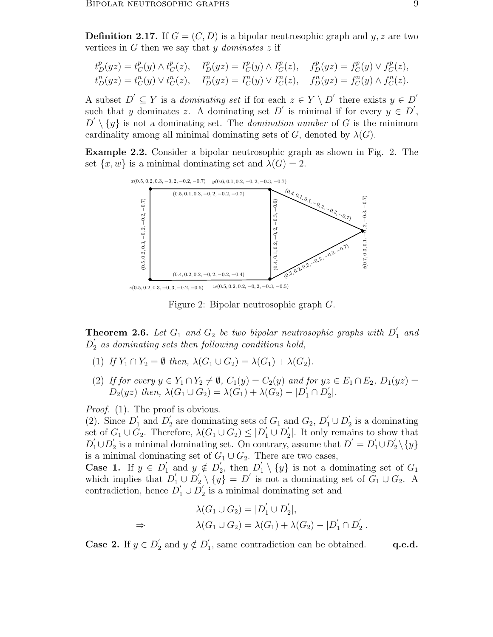**Definition 2.17.** If  $G = (C, D)$  is a bipolar neutrosophic graph and  $y, z$  are two vertices in G then we say that y *dominates* z if

$$
\begin{aligned} t^p_D(yz) &= t^p_C(y) \wedge t^p_C(z), \quad I^p_D(yz) = I^p_C(y) \wedge I^p_C(z), \quad f^p_D(yz) = f^p_C(y) \vee f^p_C(z), \\ t^n_D(yz) &= t^n_C(y) \vee t^n_C(z), \quad I^n_D(yz) = I^n_C(y) \vee I^n_C(z), \quad f^n_D(yz) = f^n_C(y) \wedge f^n_C(z). \end{aligned}
$$

A subset  $D' \subseteq Y$  is a *dominating set* if for each  $z \in Y \setminus D'$  there exists  $y \in D'$ such that y dominates z. A dominating set D' is minimal if for every  $y \in D'$ ,  $D' \setminus \{y\}$  is not a dominating set. The *domination number* of G is the minimum cardinality among all minimal dominating sets of G, denoted by  $\lambda(G)$ .

Example 2.2. Consider a bipolar neutrosophic graph as shown in Fig. 2. The set  $\{x, w\}$  is a minimal dominating set and  $\lambda(G) = 2$ .



Figure 2: Bipolar neutrosophic graph G.

**Theorem 2.6.** Let  $G_1$  and  $G_2$  be two bipolar neutrosophic graphs with  $D'_1$  and  $D_2^{\prime}$  $\int_2'$  as dominating sets then following conditions hold,

- (1) *If*  $Y_1 \cap Y_2 = \emptyset$  *then,*  $\lambda(G_1 \cup G_2) = \lambda(G_1) + \lambda(G_2)$ *.*
- (2) *If for every*  $y \in Y_1 \cap Y_2 \neq \emptyset$ ,  $C_1(y) = C_2(y)$  *and for*  $yz \in E_1 \cap E_2$ ,  $D_1(yz) =$  $D_2(yz)$  then,  $\lambda(G_1 \cup G_2) = \lambda(G_1) + \lambda(G_2) - |D'_1 \cap D'_2|$  $\binom{7}{2}$ .

*Proof.* (1). The proof is obvious.

 $(2)$ . Since  $D'_1$  $\frac{1}{1}$  and  $D_2'$  $Q_2'$  are dominating sets of  $G_1$  and  $G_2$ ,  $D_1' \cup D_2'$  $i_2$  is a dominating set of  $G_1 \cup G_2$ . Therefore,  $\lambda(G_1 \cup G_2) \leq |D'_1 \cup D'_2$  $2$ . It only remains to show that  $D_1' \cup D_2'$ is a minimal dominating set. On contrary, assume that  $D' = D_1' \cup D_2' \setminus \{y\}$ is a minimal dominating set of  $G_1 \cup G_2$ . There are two cases,

Case 1. If  $y \in D'_1$  $y \notin D'_2$  $\sum_{2}^{\prime}$ , then  $D_1^{\prime}$  $\{y\}$  is not a dominating set of  $G_1$ which implies that  $D'_1 \cup D'_2 \setminus \{y\} = D'$  is not a dominating set of  $G_1 \cup G_2$ . A contradiction, hence  $\overrightarrow{D'_1} \cup \overrightarrow{D'_2}$  $i<sub>2</sub>$  is a minimal dominating set and

$$
\lambda(G_1 \cup G_2) = |D'_1 \cup D'_2|,
$$
  
\n
$$
\Rightarrow \qquad \lambda(G_1 \cup G_2) = \lambda(G_1) + \lambda(G_2) - |D'_1 \cap D'_2|.
$$

Case 2. If  $y \in D'_2$  $y'_2$  and  $y \notin D'_1$  $\mathbf{q}_1$ , same contradiction can be obtained.  $\mathbf{q.e.d.}$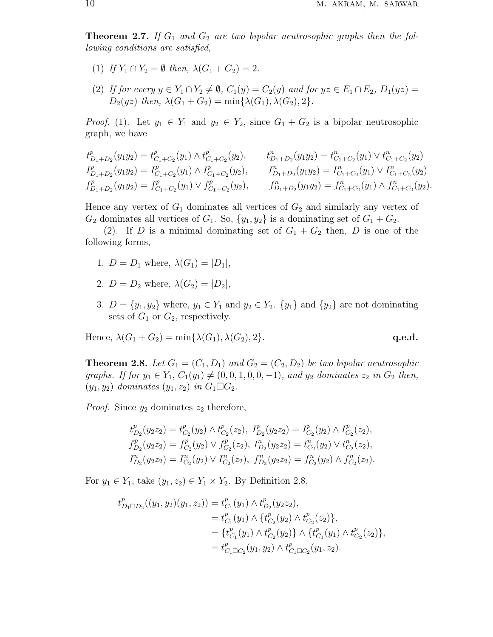**Theorem 2.7.** If  $G_1$  and  $G_2$  are two bipolar neutrosophic graphs then the fol*lowing conditions are satisfied,*

- (1) *If*  $Y_1 \cap Y_2 = \emptyset$  *then,*  $\lambda(G_1 + G_2) = 2$ *.*
- (2) *If for every*  $y \in Y_1 \cap Y_2 \neq \emptyset$ ,  $C_1(y) = C_2(y)$  *and for*  $yz \in E_1 \cap E_2$ ,  $D_1(yz) =$  $D_2(yz)$  *then,*  $\lambda(G_1 + G_2) = \min{\{\lambda(G_1), \lambda(G_2), 2\}}$ .

*Proof.* (1). Let  $y_1 \in Y_1$  and  $y_2 \in Y_2$ , since  $G_1 + G_2$  is a bipolar neutrosophic graph, we have

$$
t_{D_1+D_2}^p(y_1y_2) = t_{C_1+C_2}^p(y_1) \wedge t_{C_1+C_2}^p(y_2), \t t_{D_1+D_2}^n(y_1y_2) = t_{C_1+C_2}^n(y_1) \vee t_{C_1+C_2}^n(y_2)
$$
  
\n
$$
I_{D_1+D_2}^p(y_1y_2) = I_{C_1+C_2}^p(y_1) \wedge I_{C_1+C_2}^p(y_2), \t I_{D_1+D_2}^n(y_1y_2) = I_{C_1+C_2}^n(y_1) \vee I_{C_1+C_2}^n(y_2)
$$
  
\n
$$
f_{D_1+D_2}^p(y_1y_2) = f_{C_1+C_2}^p(y_1) \vee f_{C_1+C_2}^p(y_2), \t f_{D_1+D_2}^n(y_1y_2) = f_{C_1+C_2}^n(y_1) \wedge f_{C_1+C_2}^n(y_2).
$$

Hence any vertex of  $G_1$  dominates all vertices of  $G_2$  and similarly any vertex of  $G_2$  dominates all vertices of  $G_1$ . So,  $\{y_1, y_2\}$  is a dominating set of  $G_1 + G_2$ .

(2). If D is a minimal dominating set of  $G_1 + G_2$  then, D is one of the following forms,

- 1.  $D = D_1$  where,  $\lambda(G_1) = |D_1|$ ,
- 2.  $D = D_2$  where,  $\lambda(G_2) = |D_2|$ ,
- 3.  $D = \{y_1, y_2\}$  where,  $y_1 \in Y_1$  and  $y_2 \in Y_2$ .  $\{y_1\}$  and  $\{y_2\}$  are not dominating sets of  $G_1$  or  $G_2$ , respectively.

Hence, 
$$
\lambda(G_1 + G_2) = \min{\lambda(G_1), \lambda(G_2), 2}
$$
. **q.e.d.**

**Theorem 2.8.** Let  $G_1 = (C_1, D_1)$  and  $G_2 = (C_2, D_2)$  be two bipolar neutrosophic *graphs. If for*  $y_1 \in Y_1$ ,  $C_1(y_1) \neq (0, 0, 1, 0, 0, -1)$ *, and*  $y_2$  *dominates*  $z_2$  *in*  $G_2$  *then,*  $(y_1, y_2)$  *dominates*  $(y_1, z_2)$  *in*  $G_1 \square G_2$ *.* 

*Proof.* Since  $y_2$  dominates  $z_2$  therefore,

$$
t_{D_2}^p(y_2z_2) = t_{C_2}^p(y_2) \wedge t_{C_2}^p(z_2), \quad t_{D_2}^p(y_2z_2) = I_{C_2}^p(y_2) \wedge I_{C_2}^p(z_2),
$$
  
\n
$$
f_{D_2}^p(y_2z_2) = f_{C_2}^p(y_2) \vee f_{C_2}^p(z_2), \quad t_{D_2}^n(y_2z_2) = t_{C_2}^n(y_2) \vee t_{C_2}^n(z_2),
$$
  
\n
$$
I_{D_2}^n(y_2z_2) = I_{C_2}^n(y_2) \vee I_{C_2}^n(z_2), \quad f_{D_2}^n(y_2z_2) = f_{C_2}^n(y_2) \wedge f_{C_2}^n(z_2).
$$

For  $y_1 \in Y_1$ , take  $(y_1, z_2) \in Y_1 \times Y_2$ . By Definition 2.8,

$$
\begin{aligned} t^p_{D_1\Box D_2}((y_1,y_2)(y_1,z_2))&=t^p_{C_1}(y_1)\wedge t^p_{D_2}(y_2z_2),\\&=t^p_{C_1}(y_1)\wedge \{t^p_{C_2}(y_2)\wedge t^p_{C_2}(z_2)\},\\&=\{t^p_{C_1}(y_1)\wedge t^p_{C_2}(y_2)\}\wedge \{t^p_{C_1}(y_1)\wedge t^p_{C_2}(z_2)\},\\&=t^p_{C_1\Box C_2}(y_1,y_2)\wedge t^p_{C_1\Box C_2}(y_1,z_2). \end{aligned}
$$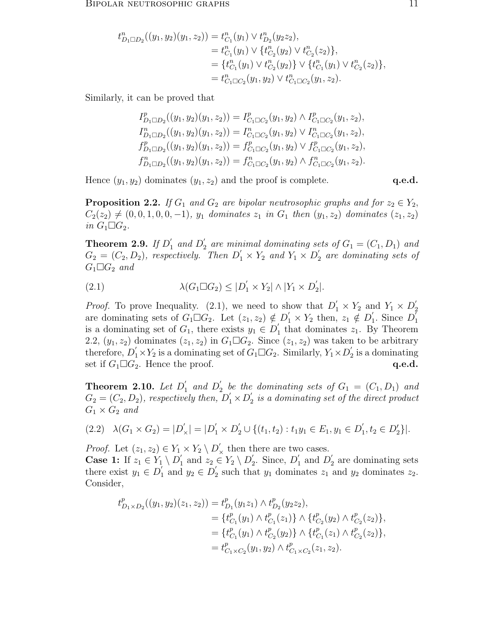$$
t_{D_1\Box D_2}^n((y_1, y_2)(y_1, z_2)) = t_{C_1}^n(y_1) \vee t_{D_2}^n(y_2z_2),
$$
  
\n
$$
= t_{C_1}^n(y_1) \vee \{t_{C_2}^n(y_2) \vee t_{C_2}^n(z_2)\},
$$
  
\n
$$
= \{t_{C_1}^n(y_1) \vee t_{C_2}^n(y_2)\} \vee \{t_{C_1}^n(y_1) \vee t_{C_2}^n(z_2)\},
$$
  
\n
$$
= t_{C_1\Box C_2}^n(y_1, y_2) \vee t_{C_1\Box C_2}^n(y_1, z_2).
$$

Similarly, it can be proved that

$$
I_{D_1 \square D_2}^p((y_1, y_2)(y_1, z_2)) = I_{C_1 \square C_2}^p(y_1, y_2) \wedge I_{C_1 \square C_2}^p(y_1, z_2),
$$
  
\n
$$
I_{D_1 \square D_2}^n((y_1, y_2)(y_1, z_2)) = I_{C_1 \square C_2}^n(y_1, y_2) \vee I_{C_1 \square C_2}^n(y_1, z_2),
$$
  
\n
$$
f_{D_1 \square D_2}^p((y_1, y_2)(y_1, z_2)) = f_{C_1 \square C_2}^p(y_1, y_2) \vee f_{C_1 \square C_2}^p(y_1, z_2),
$$
  
\n
$$
f_{D_1 \square D_2}^n((y_1, y_2)(y_1, z_2)) = f_{C_1 \square C_2}^n(y_1, y_2) \wedge f_{C_1 \square C_2}^n(y_1, z_2).
$$

Hence  $(y_1, y_2)$  dominates  $(y_1, z_2)$  and the proof is complete.  $q.e.d.$ 

**Proposition 2.2.** *If*  $G_1$  *and*  $G_2$  *are bipolar neutrosophic graphs and for*  $z_2 \in Y_2$ ,  $C_2(z_2) \neq (0, 0, 1, 0, 0, -1), y_1$  *dominates*  $z_1$  *in*  $G_1$  *then*  $(y_1, z_2)$  *dominates*  $(z_1, z_2)$ *in*  $G_1 \square G_2$ *.* 

**Theorem 2.9.** If  $D'_1$  and  $D'_2$  are minimal dominating sets of  $G_1 = (C_1, D_1)$  and  $G_2 = (C_2, D_2)$ , respectively. Then  $D'_1 \times Y_2$  and  $Y_1 \times D'_2$ 2 *are dominating sets of*  $G_1 \square G_2$  *and* 

(2.1) 
$$
\lambda(G_1 \square G_2) \leq |D'_1 \times Y_2| \wedge |Y_1 \times D'_2|.
$$

*Proof.* To prove Inequality. (2.1), we need to show that  $D'_1 \times Y_2$  and  $Y_1 \times D'_2$ 2 are dominating sets of  $G_1 \square G_2$ . Let  $(z_1, z_2) \notin D'_1 \times Y_2$  then,  $z_1 \notin D'_1$  $\int_1$ . Since  $D_1^{\dagger}$ 1 is a dominating set of  $G_1$ , there exists  $y_1 \in D'_1$  $i_1$  that dominates  $z_1$ . By Theorem 2.2,  $(y_1, z_2)$  dominates  $(z_1, z_2)$  in  $G_1 \square G_2$ . Since  $(z_1, z_2)$  was taken to be arbitrary therefore,  $D'_1 \times Y_2$  is a dominating set of  $G_1 \square G_2$ . Similarly,  $Y_1 \times D'_2$  $i_2$  is a dominating set if  $G_1 \square G_2$ . Hence the proof.  $q.e.d.$ 

**Theorem 2.10.** Let  $D_1'$  $\int_1'$  and  $D_2'$  $\mathcal{L}_2$  be the dominating sets of  $G_1 = (C_1, D_1)$  and  $G_2 = (C_2, D_2)$ , respectively then,  $D'_1 \times D'_2$  $\frac{1}{2}$  is a dominating set of the direct product  $G_1 \times G_2$  and

$$
(2.2) \quad \lambda(G_1 \times G_2) = |D'_\times| = |D'_1 \times D'_2 \cup \{(t_1, t_2) : t_1 y_1 \in E_1, y_1 \in D'_1, t_2 \in D'_2\}|.
$$

*Proof.* Let  $(z_1, z_2) \in Y_1 \times Y_2 \setminus D'_{\times}$  then there are two cases.

**Case 1:** If  $z_1 \in Y_1 \setminus D'_1$  and  $z_2 \in Y_2 \setminus D'_2$ . Since,  $D'_1$  and  $D'_2$  are dominating sets there exist  $y_1 \in D'_1$  $\overline{I}_1$  and  $y_2 \in D_2'$ <sup>2</sup> such that  $y_1$  dominates  $z_1$  and  $y_2$  dominates  $z_2$ . Consider,

$$
t_{D_1 \times D_2}^p((y_1, y_2)(z_1, z_2)) = t_{D_1}^p(y_1 z_1) \wedge t_{D_2}^p(y_2 z_2),
$$
  
\n
$$
= \{t_{C_1}^p(y_1) \wedge t_{C_1}^p(z_1)\} \wedge \{t_{C_2}^p(y_2) \wedge t_{C_2}^p(z_2)\},
$$
  
\n
$$
= \{t_{C_1}^p(y_1) \wedge t_{C_2}^p(y_2)\} \wedge \{t_{C_1}^p(z_1) \wedge t_{C_2}^p(z_2)\},
$$
  
\n
$$
= t_{C_1 \times C_2}^p(y_1, y_2) \wedge t_{C_1 \times C_2}^p(z_1, z_2).
$$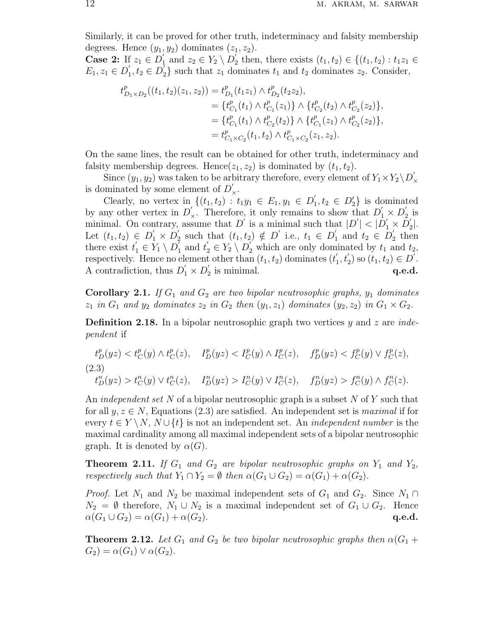Similarly, it can be proved for other truth, indeterminacy and falsity membership degrees. Hence  $(y_1, y_2)$  dominates  $(z_1, z_2)$ .

**Case 2:** If  $z_1 \in D'_1$  and  $z_2 \in Y_2 \setminus D'_2$  $t_2'$  then, there exists  $(t_1, t_2) \in \{(t_1, t_2) : t_1 z_1 \in$  $E_1, z_1 \in D'_1$  $t_1', t_2 \in D_2'$  $\mathbb{Z}_2$  such that  $z_1$  dominates  $t_1$  and  $t_2$  dominates  $z_2$ . Consider,

$$
t_{D_1\times D_2}^p((t_1,t_2)(z_1,z_2)) = t_{D_1}^p(t_1z_1) \wedge t_{D_2}^p(t_2z_2),
$$
  
\n
$$
= \{t_{C_1}^p(t_1) \wedge t_{C_1}^p(z_1)\} \wedge \{t_{C_2}^p(t_2) \wedge t_{C_2}^p(z_2)\},
$$
  
\n
$$
= \{t_{C_1}^p(t_1) \wedge t_{C_2}^p(t_2)\} \wedge \{t_{C_1}^p(z_1) \wedge t_{C_2}^p(z_2)\},
$$
  
\n
$$
= t_{C_1\times C_2}^p(t_1,t_2) \wedge t_{C_1\times C_2}^p(z_1,z_2).
$$

On the same lines, the result can be obtained for other truth, indeterminacy and falsity membership degrees. Hence( $z_1, z_2$ ) is dominated by  $(t_1, t_2)$ .

Since  $(y_1, y_2)$  was taken to be arbitrary therefore, every element of  $Y_1 \times Y_2 \backslash D'_2$ × is dominated by some element of  $D'_{\times}$ .

Clearly, no vertex in  $\{(t_1, t_2) : t_1y_1 \in E_1, y_1 \in D'_1\}$  $t_1, t_2 \in D_2'$  is dominated by any other vertex in  $D'_{\times}$ . Therefore, it only remains to show that  $D'_1 \times D'_2$  $\frac{1}{2}$  is minimal. On contrary, assume that  $D'$  is a minimal such that  $|D'| < |D'_1 \times D'_2$  $\frac{1}{2}$ . Let  $(t_1, t_2) \in D'_1 \times D'_2$ <sup>'</sup><sub>2</sub> such that  $(t_1, t_2) \notin D'$  i.e.,  $t_1 \in D'_1$  $\frac{1}{1}$  and  $t_2 \in D'_2$  $\frac{1}{2}$  then there exist  $t'_1 \in Y_1 \setminus D'_1$  $t_1^7$  and  $t_2' \in Y_2 \setminus D_2'$  which are only dominated by  $t_1$  and  $t_2$ , respectively. Hence no element other than  $(t_1, t_2)$  dominates  $(t'_1, t'_2)$  so  $(t_1, t_2) \in D$ . A contradiction, thus  $D'_1 \times D'_2$  $\mathbf{q}$  is minimal.  $\qquad \qquad \mathbf{q.e.d.}$ 

**Corollary 2.1.** If  $G_1$  and  $G_2$  are two bipolar neutrosophic graphs,  $y_1$  dominates  $z_1$  *in*  $G_1$  *and*  $y_2$  *dominates*  $z_2$  *in*  $G_2$  *then*  $(y_1, z_1)$  *dominates*  $(y_2, z_2)$  *in*  $G_1 \times G_2$ *.* 

Definition 2.18. In a bipolar neutrosophic graph two vertices y and z are *independent* if

$$
t_D^p(yz) < t_C^p(y) \land t_C^p(z), \quad I_D^p(yz) < I_C^p(y) \land I_C^p(z), \quad f_D^p(yz) < f_C^p(y) \lor f_C^p(z),
$$
\n
$$
(2.3)
$$
\n
$$
t_D^n(yz) > t_C^n(y) \lor t_C^n(z), \quad I_D^n(yz) > I_C^n(y) \lor I_C^n(z), \quad f_D^n(yz) > f_C^n(y) \land f_C^n(z).
$$

An *independent set* N of a bipolar neutrosophic graph is a subset N of Y such that for all  $y, z \in N$ , Equations (2.3) are satisfied. An independent set is *maximal* if for every  $t \in Y \backslash N$ ,  $N \cup \{t\}$  is not an independent set. An *independent number* is the maximal cardinality among all maximal independent sets of a bipolar neutrosophic graph. It is denoted by  $\alpha(G)$ .

**Theorem 2.11.** *If*  $G_1$  *and*  $G_2$  *are bipolar neutrosophic graphs on*  $Y_1$  *and*  $Y_2$ *, respectively such that*  $Y_1 \cap Y_2 = \emptyset$  *then*  $\alpha(G_1 \cup G_2) = \alpha(G_1) + \alpha(G_2)$ .

*Proof.* Let  $N_1$  and  $N_2$  be maximal independent sets of  $G_1$  and  $G_2$ . Since  $N_1 \cap$  $N_2 = \emptyset$  therefore,  $N_1 \cup N_2$  is a maximal independent set of  $G_1 \cup G_2$ . Hence  $\alpha(G_1 \cup G_2) = \alpha(G_1) + \alpha(G_2).$  q.e.d.

**Theorem 2.12.** Let  $G_1$  and  $G_2$  be two bipolar neutrosophic graphs then  $\alpha(G_1 +$  $G_2$ ) =  $\alpha(G_1) \vee \alpha(G_2)$ .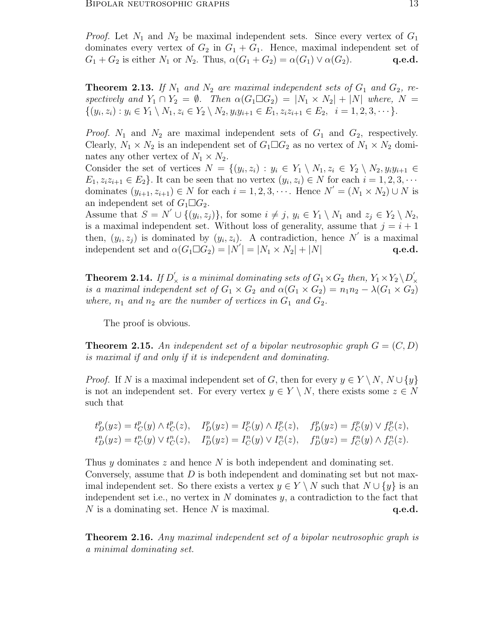*Proof.* Let  $N_1$  and  $N_2$  be maximal independent sets. Since every vertex of  $G_1$ dominates every vertex of  $G_2$  in  $G_1 + G_1$ . Hence, maximal independent set of  $G_1 + G_2$  is either  $N_1$  or  $N_2$ . Thus,  $\alpha(G_1 + G_2) = \alpha(G_1) \vee \alpha(G_2)$ . **q.e.d.** 

**Theorem 2.13.** If  $N_1$  and  $N_2$  are maximal independent sets of  $G_1$  and  $G_2$ , re*spectively and*  $Y_1 \cap Y_2 = \emptyset$ *. Then*  $\alpha(G_1 \square G_2) = |N_1 \times N_2| + |N|$  where,  $N =$  $\{(y_i, z_i): y_i \in Y_1 \setminus N_1, z_i \in Y_2 \setminus N_2, y_i y_{i+1} \in E_1, z_i z_{i+1} \in E_2, i = 1, 2, 3, \cdots\}.$ 

*Proof.*  $N_1$  and  $N_2$  are maximal independent sets of  $G_1$  and  $G_2$ , respectively. Clearly,  $N_1 \times N_2$  is an independent set of  $G_1 \square G_2$  as no vertex of  $N_1 \times N_2$  dominates any other vertex of  $N_1 \times N_2$ .

Consider the set of vertices  $N = \{(y_i, z_i) : y_i \in Y_1 \setminus N_1, z_i \in Y_2 \setminus N_2, y_iy_{i+1} \in Y_1\})$  $E_1, z_i z_{i+1} \in E_2$ . It can be seen that no vertex  $(y_i, z_i) \in N$  for each  $i = 1, 2, 3, \cdots$ dominates  $(y_{i+1}, z_{i+1}) \in N$  for each  $i = 1, 2, 3, \cdots$ . Hence  $N' = (N_1 \times N_2) \cup N$  is an independent set of  $G_1 \square G_2$ .

Assume that  $S = N' \cup \{(y_i, z_j)\}\$ , for some  $i \neq j$ ,  $y_i \in Y_1 \setminus N_1$  and  $z_j \in Y_2 \setminus N_2$ , is a maximal independent set. Without loss of generality, assume that  $j = i + 1$ then,  $(y_i, z_j)$  is dominated by  $(y_i, z_i)$ . A contradiction, hence N' is a maximal independent set and  $\alpha(G_1 \Box G_2) = |N'| = |N_1 \times N_2| + |N|$  q.e.d.

**Theorem 2.14.** If  $D_{\times}^{'}$  is a minimal dominating sets of  $G_1 \times G_2$  then,  $Y_1 \times Y_2 \setminus D_{\times}^{'}$ × *is a maximal independent set of*  $G_1 \times G_2$  *and*  $\alpha(G_1 \times G_2) = n_1 n_2 - \lambda(G_1 \times G_2)$ *where,*  $n_1$  *and*  $n_2$  *are the number of vertices in*  $G_1$  *and*  $G_2$ *.* 

The proof is obvious.

**Theorem 2.15.** An independent set of a bipolar neutrosophic graph  $G = (C, D)$ *is maximal if and only if it is independent and dominating.*

*Proof.* If N is a maximal independent set of G, then for every  $y \in Y \setminus N$ ,  $N \cup \{y\}$ is not an independent set. For every vertex  $y \in Y \setminus N$ , there exists some  $z \in N$ such that

$$
t_D^p(yz) = t_C^p(y) \wedge t_C^p(z), \quad I_D^p(yz) = I_C^p(y) \wedge I_C^p(z), \quad f_D^p(yz) = f_C^p(y) \vee f_C^p(z),
$$
  
\n
$$
t_D^n(yz) = t_C^n(y) \vee t_C^n(z), \quad I_D^n(yz) = I_C^n(y) \vee I_C^n(z), \quad f_D^n(yz) = f_C^n(y) \wedge f_C^n(z).
$$

Thus y dominates z and hence N is both independent and dominating set. Conversely, assume that  $D$  is both independent and dominating set but not maximal independent set. So there exists a vertex  $y \in Y \setminus N$  such that  $N \cup \{y\}$  is an independent set i.e., no vertex in  $N$  dominates  $y$ , a contradiction to the fact that  $N$  is a dominating set. Hence  $N$  is maximal.  $q.e.d.$ 

Theorem 2.16. *Any maximal independent set of a bipolar neutrosophic graph is a minimal dominating set.*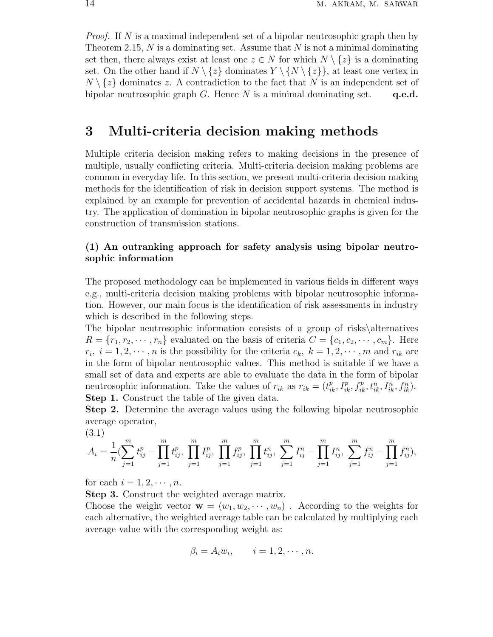*Proof.* If N is a maximal independent set of a bipolar neutrosophic graph then by Theorem 2.15,  $N$  is a dominating set. Assume that  $N$  is not a minimal dominating set then, there always exist at least one  $z \in N$  for which  $N \setminus \{z\}$  is a dominating set. On the other hand if  $N \setminus \{z\}$  dominates  $Y \setminus \{N \setminus \{z\}\}\$ , at least one vertex in  $N \setminus \{z\}$  dominates z. A contradiction to the fact that N is an independent set of bipolar neutrosophic graph G. Hence N is a minimal dominating set.  $q.e.d.$ 

## 3 Multi-criteria decision making methods

Multiple criteria decision making refers to making decisions in the presence of multiple, usually conflicting criteria. Multi-criteria decision making problems are common in everyday life. In this section, we present multi-criteria decision making methods for the identification of risk in decision support systems. The method is explained by an example for prevention of accidental hazards in chemical industry. The application of domination in bipolar neutrosophic graphs is given for the construction of transmission stations.

## (1) An outranking approach for safety analysis using bipolar neutrosophic information

The proposed methodology can be implemented in various fields in different ways e.g., multi-criteria decision making problems with bipolar neutrosophic information. However, our main focus is the identification of risk assessments in industry which is described in the following steps.

The bipolar neutrosophic information consists of a group of risks\alternatives  $R = \{r_1, r_2, \dots, r_n\}$  evaluated on the basis of criteria  $C = \{c_1, c_2, \dots, c_m\}$ . Here  $r_i, i = 1, 2, \dots, n$  is the possibility for the criteria  $c_k, k = 1, 2, \dots, m$  and  $r_{ik}$  are in the form of bipolar neutrosophic values. This method is suitable if we have a small set of data and experts are able to evaluate the data in the form of bipolar neutrosophic information. Take the values of  $r_{ik}$  as  $r_{ik} = (t_{ik}^p, I_{ik}^p, f_{ik}^p, t_{ik}^n, I_{ik}^n, f_{ik}^n)$ . Step 1. Construct the table of the given data.

Step 2. Determine the average values using the following bipolar neutrosophic average operator,

$$
(3.1) \quad A_i = \frac{1}{n} \left( \sum_{j=1}^m t_{ij}^p - \prod_{j=1}^m t_{ij}^p, \prod_{j=1}^m I_{ij}^p, \prod_{j=1}^m f_{ij}^p, \prod_{j=1}^m t_{ij}^n, \sum_{j=1}^m I_{ij}^n - \prod_{j=1}^m I_{ij}^n, \sum_{j=1}^m f_{ij}^n - \prod_{j=1}^m f_{ij}^n \right),
$$

for each  $i = 1, 2, \cdots, n$ .

Step 3. Construct the weighted average matrix.

Choose the weight vector  $\mathbf{w} = (w_1, w_2, \dots, w_n)$ . According to the weights for each alternative, the weighted average table can be calculated by multiplying each average value with the corresponding weight as:

$$
\beta_i = A_i w_i, \qquad i = 1, 2, \cdots, n.
$$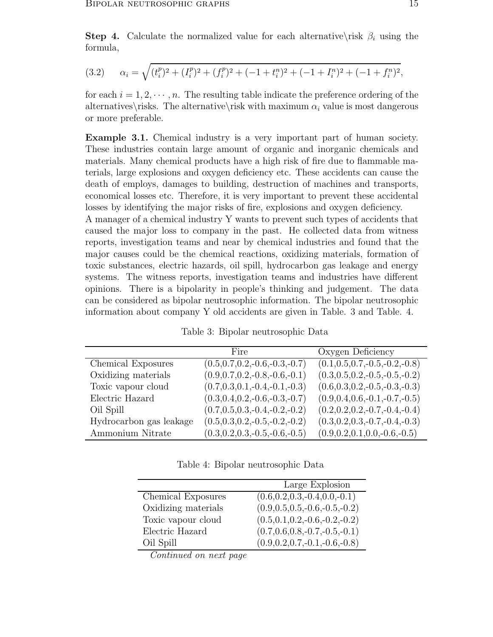**Step 4.** Calculate the normalized value for each alternative\risk  $\beta_i$  using the formula,

(3.2) 
$$
\alpha_i = \sqrt{(t_i^p)^2 + (I_i^p)^2 + (f_i^p)^2 + (-1 + t_i^n)^2 + (-1 + I_i^n)^2 + (-1 + f_i^n)^2},
$$

for each  $i = 1, 2, \dots, n$ . The resulting table indicate the preference ordering of the alternatives is The alternative is with maximum  $\alpha_i$  value is most dangerous or more preferable.

Example 3.1. Chemical industry is a very important part of human society. These industries contain large amount of organic and inorganic chemicals and materials. Many chemical products have a high risk of fire due to flammable materials, large explosions and oxygen deficiency etc. These accidents can cause the death of employs, damages to building, destruction of machines and transports, economical losses etc. Therefore, it is very important to prevent these accidental losses by identifying the major risks of fire, explosions and oxygen deficiency.

A manager of a chemical industry Y wants to prevent such types of accidents that caused the major loss to company in the past. He collected data from witness reports, investigation teams and near by chemical industries and found that the major causes could be the chemical reactions, oxidizing materials, formation of toxic substances, electric hazards, oil spill, hydrocarbon gas leakage and energy systems. The witness reports, investigation teams and industries have different opinions. There is a bipolarity in people's thinking and judgement. The data can be considered as bipolar neutrosophic information. The bipolar neutrosophic information about company Y old accidents are given in Table. 3 and Table. 4.

Table 3: Bipolar neutrosophic Data

|                         | Fire                                | Oxygen Deficiency                              |
|-------------------------|-------------------------------------|------------------------------------------------|
| Chemical Exposures      | $(0.5, 0.7, 0.2, -0.6, -0.3, -0.7)$ | $\overline{(0.1, 0.5, 0.7, -0.5, -0.2, -0.8)}$ |
| Oxidizing materials     | $(0.9, 0.7, 0.2, -0.8, -0.6, -0.1)$ | $(0.3, 0.5, 0.2, -0.5, -0.5, -0.2)$            |
| Toxic vapour cloud      | $(0.7, 0.3, 0.1, -0.4, -0.1, -0.3)$ | $(0.6, 0.3, 0.2, -0.5, -0.3, -0.3)$            |
| Electric Hazard         | $(0.3, 0.4, 0.2, -0.6, -0.3, -0.7)$ | $(0.9, 0.4, 0.6, -0.1, -0.7, -0.5)$            |
| Oil Spill               | $(0.7, 0.5, 0.3, -0.4, -0.2, -0.2)$ | $(0.2, 0.2, 0.2, -0.7, -0.4, -0.4)$            |
| Hydrocarbon gas leakage | $(0.5, 0.3, 0.2, -0.5, -0.2, -0.2)$ | $(0.3, 0.2, 0.3, -0.7, -0.4, -0.3)$            |
| Ammonium Nitrate        | $(0.3, 0.2, 0.3, -0.5, -0.6, -0.5)$ | $(0.9, 0.2, 0.1, 0.0, -0.6, -0.5)$             |

Table 4: Bipolar neutrosophic Data

|                     | Large Explosion                     |
|---------------------|-------------------------------------|
| Chemical Exposures  | $(0.6, 0.2, 0.3, -0.4, 0.0, -0.1)$  |
| Oxidizing materials | $(0.9, 0.5, 0.5, -0.6, -0.5, -0.2)$ |
| Toxic vapour cloud  | $(0.5, 0.1, 0.2, -0.6, -0.2, -0.2)$ |
| Electric Hazard     | $(0.7, 0.6, 0.8, -0.7, -0.5, -0.1)$ |
| Oil Spill           | $(0.9, 0.2, 0.7, -0.1, -0.6, -0.8)$ |

*Continued on next page*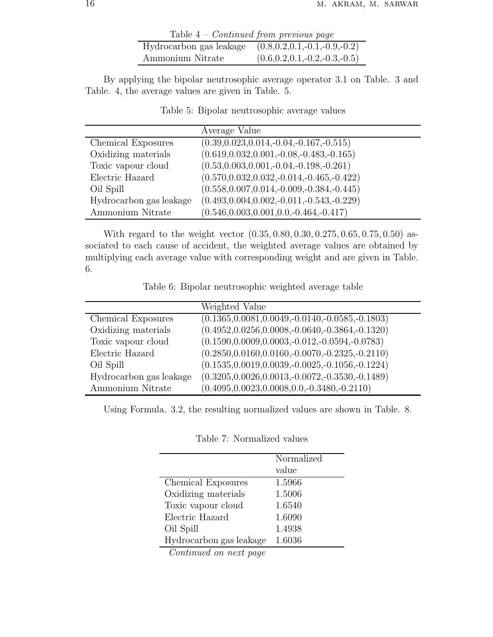| Table $4$ – <i>Continued from previous page</i>             |                                     |
|-------------------------------------------------------------|-------------------------------------|
| Hydrocarbon gas leakage $(0.8, 0.2, 0.1, -0.1, -0.9, -0.2)$ |                                     |
| Ammonium Nitrate                                            | $(0.6, 0.2, 0.1, -0.2, -0.3, -0.5)$ |

By applying the bipolar neutrosophic average operator 3.1 on Table. 3 and Table. 4, the average values are given in Table. 5.

|                         | Average Value                                   |
|-------------------------|-------------------------------------------------|
| Chemical Exposures      | $(0.39, 0.023, 0.014, -0.04, -0.167, -0.515)$   |
| Oxidizing materials     | $(0.619, 0.032, 0.001, -0.08, -0.483, -0.165)$  |
| Toxic vapour cloud      | $(0.53, 0.003, 0.001, -0.04, -0.198, -0.261)$   |
| Electric Hazard         | $(0.570, 0.032, 0.032, -0.014, -0.465, -0.422)$ |
| Oil Spill               | $(0.558, 0.007, 0.014, -0.009, -0.384, -0.445)$ |
| Hydrocarbon gas leakage | $(0.493, 0.004, 0.002, -0.011, -0.543, -0.229)$ |
| Ammonium Nitrate        | $(0.546, 0.003, 0.001, 0.0, -0.464, -0.417)$    |

Table 5: Bipolar neutrosophic average values

With regard to the weight vector (0.35, 0.80, 0.30, 0.275, 0.65, 0.75, 0.50) associated to each cause of accident, the weighted average values are obtained by multiplying each average value with corresponding weight and are given in Table. 6.

Table 6: Bipolar neutrosophic weighted average table

|                         | Weighted Value                                        |
|-------------------------|-------------------------------------------------------|
| Chemical Exposures      | $(0.1365, 0.0081, 0.0049, -0.0140, -0.0585, -0.1803)$ |
| Oxidizing materials     | $(0.4952, 0.0256, 0.0008, -0.0640, -0.3864, -0.1320)$ |
| Toxic vapour cloud      | $(0.1590, 0.0009, 0.0003, -0.012, -0.0594, -0.0783)$  |
| Electric Hazard         | $(0.2850, 0.0160, 0.0160, -0.0070, -0.2325, -0.2110)$ |
| Oil Spill               | $(0.1535, 0.0019, 0.0039, -0.0025, -0.1056, -0.1224)$ |
| Hydrocarbon gas leakage | $(0.3205, 0.0026, 0.0013, -0.0072, -0.3530, -0.1489)$ |
| Ammonium Nitrate        | $(0.4095, 0.0023, 0.0008, 0.0, -0.3480, -0.2110)$     |

Using Formula. 3.2, the resulting normalized values are shown in Table. 8.

|                         | Normalized |
|-------------------------|------------|
|                         | value      |
| Chemical Exposures      | 1.5966     |
| Oxidizing materials     | 1.5006     |
| Toxic vapour cloud      | 1.6540     |
| Electric Hazard         | 1.6090     |
| Oil Spill               | 1.4938     |
| Hydrocarbon gas leakage | 1.6036     |
| $\sim$ $\sim$           |            |

Table 7: Normalized values

*Continued on next page*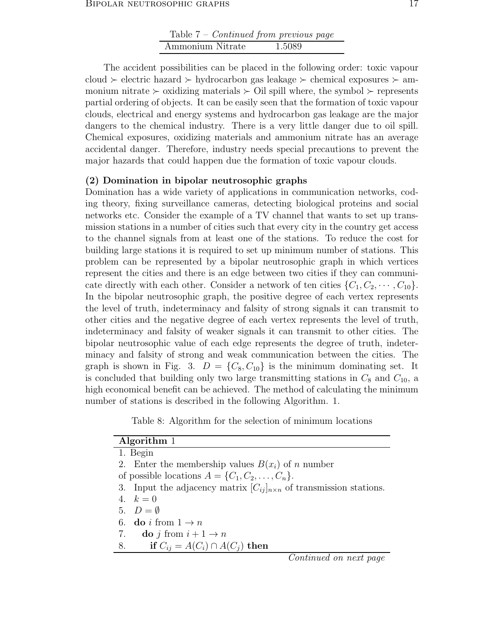| Table $7$ – <i>Continued from previous page</i> |        |
|-------------------------------------------------|--------|
| Ammonium Nitrate                                | 1.5089 |

The accident possibilities can be placed in the following order: toxic vapour cloud ≻ electric hazard ≻ hydrocarbon gas leakage ≻ chemical exposures ≻ ammonium nitrate ≻ oxidizing materials ≻ Oil spill where, the symbol ≻ represents partial ordering of objects. It can be easily seen that the formation of toxic vapour clouds, electrical and energy systems and hydrocarbon gas leakage are the major dangers to the chemical industry. There is a very little danger due to oil spill. Chemical exposures, oxidizing materials and ammonium nitrate has an average accidental danger. Therefore, industry needs special precautions to prevent the major hazards that could happen due the formation of toxic vapour clouds.

## (2) Domination in bipolar neutrosophic graphs

Domination has a wide variety of applications in communication networks, coding theory, fixing surveillance cameras, detecting biological proteins and social networks etc. Consider the example of a TV channel that wants to set up transmission stations in a number of cities such that every city in the country get access to the channel signals from at least one of the stations. To reduce the cost for building large stations it is required to set up minimum number of stations. This problem can be represented by a bipolar neutrosophic graph in which vertices represent the cities and there is an edge between two cities if they can communicate directly with each other. Consider a network of ten cities  $\{C_1, C_2, \cdots, C_{10}\}.$ In the bipolar neutrosophic graph, the positive degree of each vertex represents the level of truth, indeterminacy and falsity of strong signals it can transmit to other cities and the negative degree of each vertex represents the level of truth, indeterminacy and falsity of weaker signals it can transmit to other cities. The bipolar neutrosophic value of each edge represents the degree of truth, indeterminacy and falsity of strong and weak communication between the cities. The graph is shown in Fig. 3.  $D = \{C_8, C_{10}\}\$ is the minimum dominating set. It is concluded that building only two large transmitting stations in  $C_8$  and  $C_{10}$ , a high economical benefit can be achieved. The method of calculating the minimum number of stations is described in the following Algorithm. 1.

Table 8: Algorithm for the selection of minimum locations

| Algorithm 1                                                                     |
|---------------------------------------------------------------------------------|
| 1. Begin                                                                        |
| 2. Enter the membership values $B(x_i)$ of n number                             |
| of possible locations $A = \{C_1, C_2, \ldots, C_n\}.$                          |
| 3. Input the adjacency matrix $[C_{ij}]_{n \times n}$ of transmission stations. |
| 4. $k = 0$                                                                      |
| 5. $D = \emptyset$                                                              |
| 6. do <i>i</i> from $1 \rightarrow n$                                           |
| 7. do j from $i+1 \rightarrow n$                                                |
| if $C_{ij} = A(C_i) \cap A(C_j)$ then<br>8.                                     |
|                                                                                 |

*Continued on next page*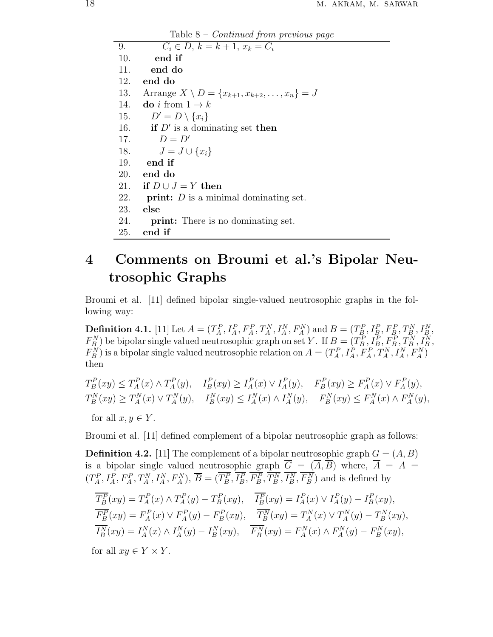Table 8 – *Continued from previous page*

9.  $C_i \in D, k = k + 1, x_k = C_i$ 10. end if 11. end do 12. end do 13. Arrange  $X \setminus D = \{x_{k+1}, x_{k+2}, \ldots, x_n\} = J$ 14. do i from  $1 \rightarrow k$ 15.  $D' = D \setminus \{x_i\}$ 16. **if**  $D'$  is a dominating set **then** 17.  $D = D'$ 18.  $J = J \cup \{x_i\}$ 19. end if 20. end do 21. if  $D \cup J = Y$  then 22. **print:**  $D$  is a minimal dominating set. 23. else 24. print: There is no dominating set. 25. end if

# 4 Comments on Broumi et al.'s Bipolar Neutrosophic Graphs

Broumi et al. [11] defined bipolar single-valued neutrosophic graphs in the following way:

**Definition 4.1.** [11] Let  $A = (T_A^P, I_A^P, F_A^P, T_A^N, I_A^N, F_A^N)$  and  $B = (T_B^P, I_B^P, F_B^P, T_B^N, I_B^N,$  $F_B^N$ ) be bipolar single valued neutrosophic graph on set Y. If  $B = (T_B^P, I_B^P, F_B^P, T_B^N, I_B^N,$  $F_B^N$ ) is a bipolar single valued neutrosophic relation on  $A = (T_A^P, I_A^P, F_A^P, T_A^N, I_A^N, F_A^N)$ then

$$
T_{B}^{P}(xy) \leq T_{A}^{P}(x) \wedge T_{A}^{P}(y), \quad I_{B}^{P}(xy) \geq I_{A}^{P}(x) \vee I_{A}^{P}(y), \quad F_{B}^{P}(xy) \geq F_{A}^{P}(x) \vee F_{A}^{P}(y),
$$
  
\n
$$
T_{B}^{N}(xy) \geq T_{A}^{N}(x) \vee T_{A}^{N}(y), \quad I_{B}^{N}(xy) \leq I_{A}^{N}(x) \wedge I_{A}^{N}(y), \quad F_{B}^{N}(xy) \leq F_{A}^{N}(x) \wedge F_{A}^{N}(y),
$$
  
\nfor all  $x, y \in Y$ .

Broumi et al. [11] defined complement of a bipolar neutrosophic graph as follows:

**Definition 4.2.** [11] The complement of a bipolar neutrosophic graph  $G = (A, B)$ is a bipolar single valued neutrosophic graph  $\overline{G} = (\overline{A}, \overline{B})$  where,  $\overline{A} = A =$  $(T_A^P, I_A^P, F_A^P, T_A^N, I_A^N, F_A^N), \overline{B} = (T_B^P, I_B^P, F_B^P, T_B^N, I_B^N, F_B^N)$  and is defined by

$$
\overline{T_B^P}(xy) = T_A^P(x) \wedge T_A^P(y) - T_B^P(xy), \quad \overline{I_B^P}(xy) = I_A^P(x) \vee I_A^P(y) - I_B^P(xy), \n\overline{F_B^P}(xy) = F_A^P(x) \vee F_A^P(y) - F_B^P(xy), \quad \overline{T_B^N}(xy) = T_A^N(x) \vee T_A^N(y) - T_B^N(xy), \n\overline{I_B^N}(xy) = I_A^N(x) \wedge I_A^N(y) - I_B^N(xy), \quad \overline{F_B^N}(xy) = F_A^N(x) \wedge F_A^N(y) - F_B^N(xy),
$$

for all  $xy \in Y \times Y$ .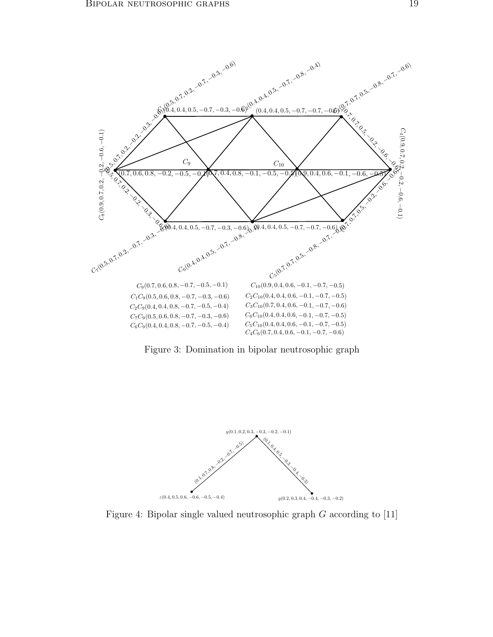

Figure 3: Domination in bipolar neutrosophic graph



Figure 4: Bipolar single valued neutrosophic graph G according to [11]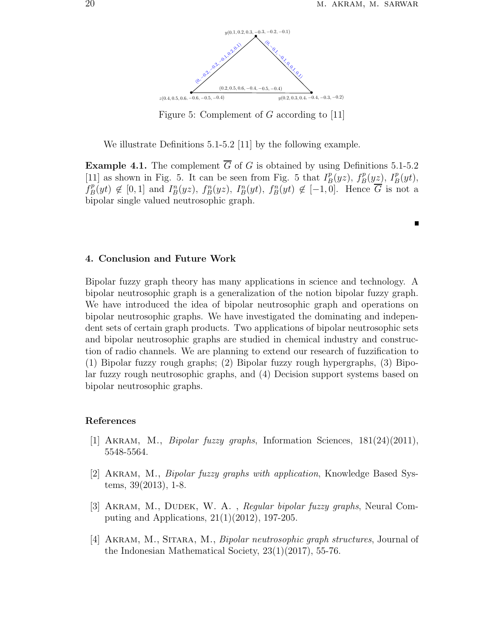$\blacksquare$ 



Figure 5: Complement of G according to [11]

We illustrate Definitions 5.1-5.2 [11] by the following example.

**Example 4.1.** The complement  $\overline{G}$  of G is obtained by using Definitions 5.1-5.2 [11] as shown in Fig. 5. It can be seen from Fig. 5 that  $I_B^p$  ${}_{B}^{p}(yz)$ ,  $f_{B}^{p}(yz)$ ,  $I_{B}^{p}(yt)$ ,  $f_B^p$  $B_B^p(yt) \notin [0,1]$  and  $I_B^n(yz)$ ,  $f_B^n(yz)$ ,  $I_B^n(yt)$ ,  $f_B^n(yt) \notin [-1,0]$ . Hence  $\overline{G}$  is not a bipolar single valued neutrosophic graph.

## 4. Conclusion and Future Work

Bipolar fuzzy graph theory has many applications in science and technology. A bipolar neutrosophic graph is a generalization of the notion bipolar fuzzy graph. We have introduced the idea of bipolar neutrosophic graph and operations on bipolar neutrosophic graphs. We have investigated the dominating and independent sets of certain graph products. Two applications of bipolar neutrosophic sets and bipolar neutrosophic graphs are studied in chemical industry and construction of radio channels. We are planning to extend our research of fuzzification to (1) Bipolar fuzzy rough graphs; (2) Bipolar fuzzy rough hypergraphs, (3) Bipolar fuzzy rough neutrosophic graphs, and (4) Decision support systems based on bipolar neutrosophic graphs.

### References

- [1] Akram, M., *Bipolar fuzzy graphs*, Information Sciences, 181(24)(2011), 5548-5564.
- [2] Akram, M., *Bipolar fuzzy graphs with application*, Knowledge Based Systems, 39(2013), 1-8.
- [3] Akram, M., Dudek, W. A. , *Regular bipolar fuzzy graphs*, Neural Computing and Applications, 21(1)(2012), 197-205.
- [4] Akram, M., Sitara, M., *Bipolar neutrosophic graph structures*, Journal of the Indonesian Mathematical Society, 23(1)(2017), 55-76.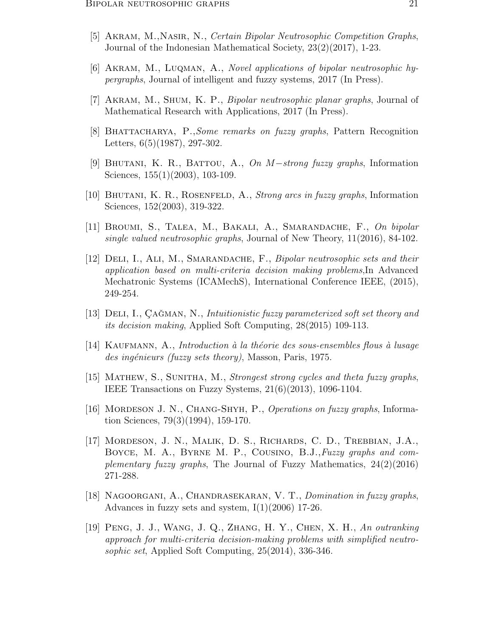- [5] Akram, M.,Nasir, N., *Certain Bipolar Neutrosophic Competition Graphs*, Journal of the Indonesian Mathematical Society, 23(2)(2017), 1-23.
- [6] Akram, M., Luqman, A., *Novel applications of bipolar neutrosophic hypergraphs*, Journal of intelligent and fuzzy systems, 2017 (In Press).
- [7] Akram, M., Shum, K. P., *Bipolar neutrosophic planar graphs*, Journal of Mathematical Research with Applications, 2017 (In Press).
- [8] Bhattacharya, P.,*Some remarks on fuzzy graphs*, Pattern Recognition Letters, 6(5)(1987), 297-302.
- [9] Bhutani, K. R., Battou, A., *On* M−*strong fuzzy graphs*, Information Sciences, 155(1)(2003), 103-109.
- [10] Bhutani, K. R., Rosenfeld, A., *Strong arcs in fuzzy graphs*, Information Sciences, 152(2003), 319-322.
- [11] Broumi, S., Talea, M., Bakali, A., Smarandache, F., *On bipolar single valued neutrosophic graphs*, Journal of New Theory, 11(2016), 84-102.
- [12] Deli, I., Ali, M., Smarandache, F., *Bipolar neutrosophic sets and their application based on multi-criteria decision making problems*,In Advanced Mechatronic Systems (ICAMechS), International Conference IEEE, (2015), 249-254.
- [13] DELI, I., ÇAĞMAN, N., *Intuitionistic fuzzy parameterized soft set theory and its decision making*, Applied Soft Computing, 28(2015) 109-113.
- [14] Kaufmann, A., *Introduction `a la th´eorie des sous-ensembles flous `a lusage des ing´enieurs (fuzzy sets theory)*, Masson, Paris, 1975.
- [15] Mathew, S., Sunitha, M., *Strongest strong cycles and theta fuzzy graphs*, IEEE Transactions on Fuzzy Systems, 21(6)(2013), 1096-1104.
- [16] Mordeson J. N., Chang-Shyh, P., *Operations on fuzzy graphs*, Information Sciences, 79(3)(1994), 159-170.
- [17] Mordeson, J. N., Malik, D. S., Richards, C. D., Trebbian, J.A., Boyce, M. A., Byrne M. P., Cousino, B.J.,*Fuzzy graphs and complementary fuzzy graphs*, The Journal of Fuzzy Mathematics, 24(2)(2016) 271-288.
- [18] Nagoorgani, A., Chandrasekaran, V. T., *Domination in fuzzy graphs*, Advances in fuzzy sets and system, I(1)(2006) 17-26.
- [19] Peng, J. J., Wang, J. Q., Zhang, H. Y., Chen, X. H., *An outranking approach for multi-criteria decision-making problems with simplified neutrosophic set*, Applied Soft Computing, 25(2014), 336-346.